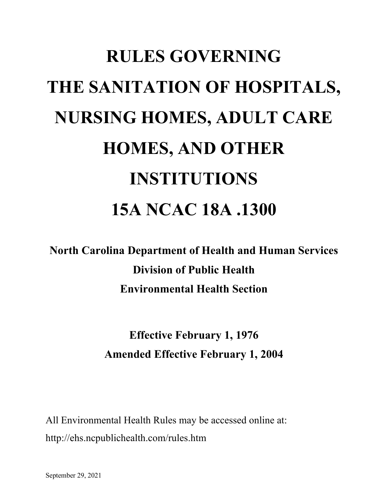# **RULES GOVERNING THE SANITATION OF HOSPITALS, NURSING HOMES, ADULT CARE HOMES, AND OTHER INSTITUTIONS 15A NCAC 18A .1300**

**North Carolina Department of Health and Human Services Division of Public Health Environmental Health Section**

> **Effective February 1, 1976 Amended Effective February 1, 2004**

All Environmental Health Rules may be accessed online at: http://ehs.ncpublichealth.com/rules.htm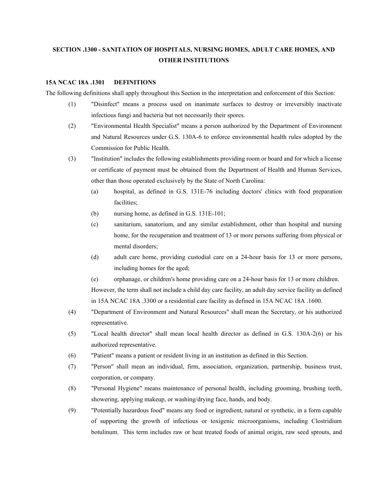# **SECTION .1300 - SANITATION OF HOSPITALS, NURSING HOMES, ADULT CARE HOMES, AND OTHER INSTITUTIONS**

#### **15A NCAC 18A .1301 DEFINITIONS**

The following definitions shall apply throughout this Section in the interpretation and enforcement of this Section:

- (1) "Disinfect" means a process used on inanimate surfaces to destroy or irreversibly inactivate infectious fungi and bacteria but not necessarily their spores.
- (2) "Environmental Health Specialist" means a person authorized by the Department of Environment and Natural Resources under G.S. 130A-6 to enforce environmental health rules adopted by the Commission for Public Health.
- (3) "Institution" includes the following establishments providing room or board and for which a license or certificate of payment must be obtained from the Department of Health and Human Services, other than those operated exclusively by the State of North Carolina:
	- (a) hospital, as defined in G.S. 131E-76 including doctors' clinics with food preparation facilities;
	- (b) nursing home, as defined in G.S. 131E-101;
	- (c) sanitarium, sanatorium, and any similar establishment, other than hospital and nursing home, for the recuperation and treatment of 13 or more persons suffering from physical or mental disorders;
	- (d) adult care home, providing custodial care on a 24-hour basis for 13 or more persons, including homes for the aged;
	- (e) orphanage, or children's home providing care on a 24-hour basis for 13 or more children. However, the term shall not include a child day care facility, an adult day service facility as defined in 15A NCAC 18A .3300 or a residential care facility as defined in 15A NCAC 18A .1600.
- (4) "Department of Environment and Natural Resources" shall mean the Secretary, or his authorized representative.
- (5) "Local health director" shall mean local health director as defined in G.S. 130A-2(6) or his authorized representative.
- (6) "Patient" means a patient or resident living in an institution as defined in this Section.
- (7) "Person" shall mean an individual, firm, association, organization, partnership, business trust, corporation, or company.
- (8) "Personal Hygiene" means maintenance of personal health, including grooming, brushing teeth, showering, applying makeup, or washing/drying face, hands, and body.
- (9) "Potentially hazardous food" means any food or ingredient, natural or synthetic, in a form capable of supporting the growth of infectious or toxigenic microorganisms, including Clostridium botulinum. This term includes raw or heat treated foods of animal origin, raw seed sprouts, and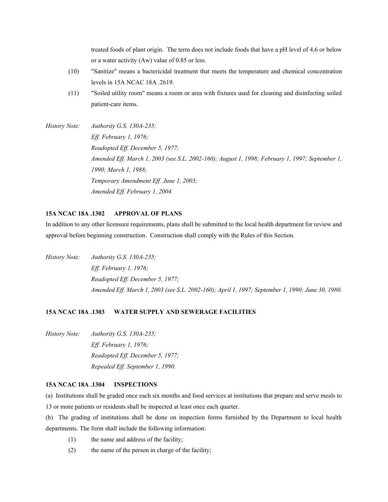treated foods of plant origin. The term does not include foods that have a pH level of 4.6 or below or a water activity (Aw) value of 0.85 or less.

- (10) "Sanitize" means a bactericidal treatment that meets the temperature and chemical concentration levels in 15A NCAC 18A .2619.
- (11) "Soiled utility room" means a room or area with fixtures used for cleaning and disinfecting soiled patient-care items.
- *History Note: Authority G.S. 130A-235; Eff. February 1, 1976; Readopted Eff. December 5, 1977; Amended Eff. March 1, 2003 (see S.L. 2002-160); August 1, 1998; February 1, 1997; September 1, 1990; March 1, 1988; Temporary Amendment Eff. June 1, 2003; Amended Eff. February 1, 2004.*

#### **15A NCAC 18A .1302 APPROVAL OF PLANS**

In addition to any other licensure requirements, plans shall be submitted to the local health department for review and approval before beginning construction. Construction shall comply with the Rules of this Section.

*History Note: Authority G.S. 130A-235; Eff. February 1, 1976; Readopted Eff. December 5, 1977; Amended Eff. March 1, 2003 (see S.L. 2002-160); April 1, 1997; September 1, 1990; June 30, 1980.*

# **15A NCAC 18A .1303 WATER SUPPLY AND SEWERAGE FACILITIES**

*History Note: Authority G.S. 130A-235; Eff. February 1, 1976; Readopted Eff. December 5, 1977; Repealed Eff. September 1, 1990.*

#### **15A NCAC 18A .1304 INSPECTIONS**

(a) Institutions shall be graded once each six months and food services at institutions that prepare and serve meals to

- 13 or more patients or residents shall be inspected at least once each quarter.
- (b) The grading of institutions shall be done on inspection forms furnished by the Department to local health departments. The form shall include the following information:
	- (1) the name and address of the facility;
	- (2) the name of the person in charge of the facility;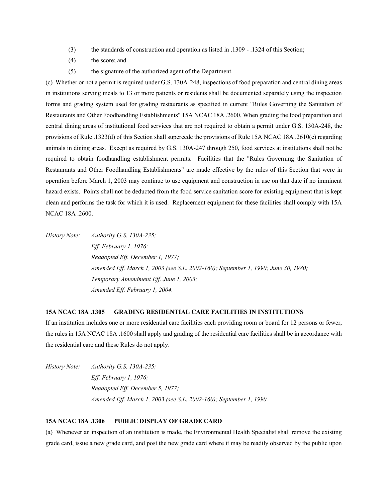- (3) the standards of construction and operation as listed in .1309 .1324 of this Section;
- (4) the score; and
- (5) the signature of the authorized agent of the Department.

(c) Whether or not a permit is required under G.S. 130A-248, inspections of food preparation and central dining areas in institutions serving meals to 13 or more patients or residents shall be documented separately using the inspection forms and grading system used for grading restaurants as specified in current "Rules Governing the Sanitation of Restaurants and Other Foodhandling Establishments" 15A NCAC 18A .2600. When grading the food preparation and central dining areas of institutional food services that are not required to obtain a permit under G.S. 130A-248, the provisions of Rule .1323(d) of this Section shall supercede the provisions of Rule 15A NCAC 18A .2610(e) regarding animals in dining areas. Except as required by G.S. 130A-247 through 250, food services at institutions shall not be required to obtain foodhandling establishment permits. Facilities that the "Rules Governing the Sanitation of Restaurants and Other Foodhandling Establishments" are made effective by the rules of this Section that were in operation before March 1, 2003 may continue to use equipment and construction in use on that date if no imminent hazard exists. Points shall not be deducted from the food service sanitation score for existing equipment that is kept clean and performs the task for which it is used. Replacement equipment for these facilities shall comply with 15A NCAC 18A .2600.

*History Note: Authority G.S. 130A-235; Eff. February 1, 1976; Readopted Eff. December 1, 1977; Amended Eff. March 1, 2003 (see S.L. 2002-160); September 1, 1990; June 30, 1980; Temporary Amendment Eff. June 1, 2003; Amended Eff. February 1, 2004.*

# **15A NCAC 18A .1305 GRADING RESIDENTIAL CARE FACILITIES IN INSTITUTIONS**

If an institution includes one or more residential care facilities each providing room or board for 12 persons or fewer, the rules in 15A NCAC 18A .1600 shall apply and grading of the residential care facilities shall be in accordance with the residential care and these Rules do not apply.

*History Note: Authority G.S. 130A-235; Eff. February 1, 1976; Readopted Eff. December 5, 1977; Amended Eff. March 1, 2003 (see S.L. 2002-160); September 1, 1990.*

## **15A NCAC 18A .1306 PUBLIC DISPLAY OF GRADE CARD**

(a) Whenever an inspection of an institution is made, the Environmental Health Specialist shall remove the existing grade card, issue a new grade card, and post the new grade card where it may be readily observed by the public upon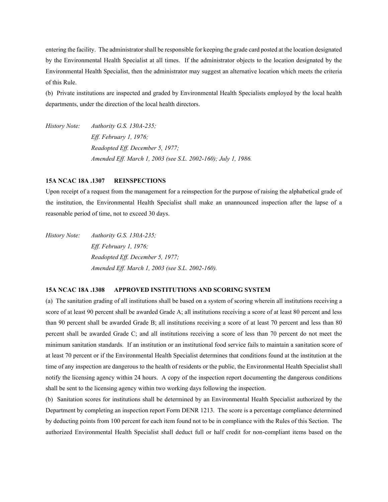entering the facility. The administrator shall be responsible for keeping the grade card posted at the location designated by the Environmental Health Specialist at all times. If the administrator objects to the location designated by the Environmental Health Specialist, then the administrator may suggest an alternative location which meets the criteria of this Rule.

(b) Private institutions are inspected and graded by Environmental Health Specialists employed by the local health departments, under the direction of the local health directors.

*History Note: Authority G.S. 130A-235; Eff. February 1, 1976; Readopted Eff. December 5, 1977; Amended Eff. March 1, 2003 (see S.L. 2002-160); July 1, 1986.*

### **15A NCAC 18A .1307 REINSPECTIONS**

Upon receipt of a request from the management for a reinspection for the purpose of raising the alphabetical grade of the institution, the Environmental Health Specialist shall make an unannounced inspection after the lapse of a reasonable period of time, not to exceed 30 days.

*History Note: Authority G.S. 130A-235; Eff. February 1, 1976; Readopted Eff. December 5, 1977; Amended Eff. March 1, 2003 (see S.L. 2002-160).*

# **15A NCAC 18A .1308 APPROVED INSTITUTIONS AND SCORING SYSTEM**

(a) The sanitation grading of all institutions shall be based on a system of scoring wherein all institutions receiving a score of at least 90 percent shall be awarded Grade A; all institutions receiving a score of at least 80 percent and less than 90 percent shall be awarded Grade B; all institutions receiving a score of at least 70 percent and less than 80 percent shall be awarded Grade C; and all institutions receiving a score of less than 70 percent do not meet the minimum sanitation standards. If an institution or an institutional food service fails to maintain a sanitation score of at least 70 percent or if the Environmental Health Specialist determines that conditions found at the institution at the time of any inspection are dangerous to the health of residents or the public, the Environmental Health Specialist shall notify the licensing agency within 24 hours. A copy of the inspection report documenting the dangerous conditions shall be sent to the licensing agency within two working days following the inspection.

(b) Sanitation scores for institutions shall be determined by an Environmental Health Specialist authorized by the Department by completing an inspection report Form DENR 1213. The score is a percentage compliance determined by deducting points from 100 percent for each item found not to be in compliance with the Rules of this Section. The authorized Environmental Health Specialist shall deduct full or half credit for non-compliant items based on the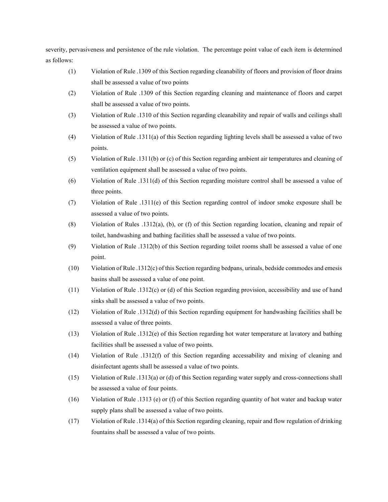severity, pervasiveness and persistence of the rule violation. The percentage point value of each item is determined as follows:

- (1) Violation of Rule .1309 of this Section regarding cleanability of floors and provision of floor drains shall be assessed a value of two points
- (2) Violation of Rule .1309 of this Section regarding cleaning and maintenance of floors and carpet shall be assessed a value of two points.
- (3) Violation of Rule .1310 of this Section regarding cleanability and repair of walls and ceilings shall be assessed a value of two points.
- (4) Violation of Rule .1311(a) of this Section regarding lighting levels shall be assessed a value of two points.
- (5) Violation of Rule .1311(b) or (c) of this Section regarding ambient air temperatures and cleaning of ventilation equipment shall be assessed a value of two points.
- (6) Violation of Rule .1311(d) of this Section regarding moisture control shall be assessed a value of three points.
- (7) Violation of Rule .1311(e) of this Section regarding control of indoor smoke exposure shall be assessed a value of two points.
- (8) Violation of Rules .1312(a), (b), or (f) of this Section regarding location, cleaning and repair of toilet, handwashing and bathing facilities shall be assessed a value of two points.
- (9) Violation of Rule .1312(b) of this Section regarding toilet rooms shall be assessed a value of one point.
- (10) Violation of Rule .1312(c) of this Section regarding bedpans, urinals, bedside commodes and emesis basins shall be assessed a value of one point.
- (11) Violation of Rule .1312(c) or (d) of this Section regarding provision, accessibility and use of hand sinks shall be assessed a value of two points.
- (12) Violation of Rule .1312(d) of this Section regarding equipment for handwashing facilities shall be assessed a value of three points.
- (13) Violation of Rule .1312(e) of this Section regarding hot water temperature at lavatory and bathing facilities shall be assessed a value of two points.
- (14) Violation of Rule .1312(f) of this Section regarding accessability and mixing of cleaning and disinfectant agents shall be assessed a value of two points.
- (15) Violation of Rule .1313(a) or (d) of this Section regarding water supply and cross-connections shall be assessed a value of four points.
- (16) Violation of Rule .1313 (e) or (f) of this Section regarding quantity of hot water and backup water supply plans shall be assessed a value of two points.
- (17) Violation of Rule .1314(a) of this Section regarding cleaning, repair and flow regulation of drinking fountains shall be assessed a value of two points.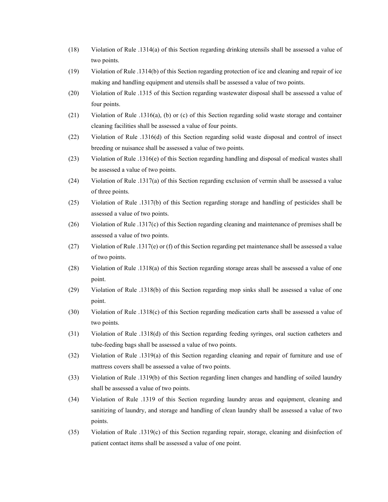- (18) Violation of Rule .1314(a) of this Section regarding drinking utensils shall be assessed a value of two points.
- (19) Violation of Rule .1314(b) of this Section regarding protection of ice and cleaning and repair of ice making and handling equipment and utensils shall be assessed a value of two points.
- (20) Violation of Rule .1315 of this Section regarding wastewater disposal shall be assessed a value of four points.
- (21) Violation of Rule .1316(a), (b) or (c) of this Section regarding solid waste storage and container cleaning facilities shall be assessed a value of four points.
- (22) Violation of Rule .1316(d) of this Section regarding solid waste disposal and control of insect breeding or nuisance shall be assessed a value of two points.
- (23) Violation of Rule .1316(e) of this Section regarding handling and disposal of medical wastes shall be assessed a value of two points.
- (24) Violation of Rule .1317(a) of this Section regarding exclusion of vermin shall be assessed a value of three points.
- (25) Violation of Rule .1317(b) of this Section regarding storage and handling of pesticides shall be assessed a value of two points.
- (26) Violation of Rule .1317(c) of this Section regarding cleaning and maintenance of premises shall be assessed a value of two points.
- (27) Violation of Rule .1317(e) or (f) of this Section regarding pet maintenance shall be assessed a value of two points.
- (28) Violation of Rule .1318(a) of this Section regarding storage areas shall be assessed a value of one point.
- (29) Violation of Rule .1318(b) of this Section regarding mop sinks shall be assessed a value of one point.
- (30) Violation of Rule .1318(c) of this Section regarding medication carts shall be assessed a value of two points.
- (31) Violation of Rule .1318(d) of this Section regarding feeding syringes, oral suction catheters and tube-feeding bags shall be assessed a value of two points.
- (32) Violation of Rule .1319(a) of this Section regarding cleaning and repair of furniture and use of mattress covers shall be assessed a value of two points.
- (33) Violation of Rule .1319(b) of this Section regarding linen changes and handling of soiled laundry shall be assessed a value of two points.
- (34) Violation of Rule .1319 of this Section regarding laundry areas and equipment, cleaning and sanitizing of laundry, and storage and handling of clean laundry shall be assessed a value of two points.
- (35) Violation of Rule .1319(c) of this Section regarding repair, storage, cleaning and disinfection of patient contact items shall be assessed a value of one point.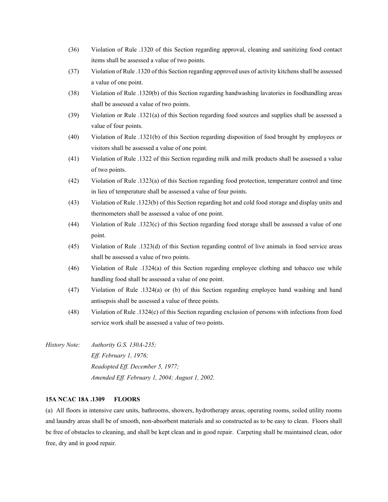- (36) Violation of Rule .1320 of this Section regarding approval, cleaning and sanitizing food contact items shall be assessed a value of two points.
- (37) Violation of Rule .1320 of this Section regarding approved uses of activity kitchens shall be assessed a value of one point.
- (38) Violation of Rule .1320(b) of this Section regarding handwashing lavatories in foodhandling areas shall be assessed a value of two points.
- (39) Violation or Rule .1321(a) of this Section regarding food sources and supplies shall be assessed a value of four points.
- (40) Violation of Rule .1321(b) of this Section regarding disposition of food brought by employees or visitors shall be assessed a value of one point.
- (41) Violation of Rule .1322 of this Section regarding milk and milk products shall be assessed a value of two points.
- (42) Violation of Rule .1323(a) of this Section regarding food protection, temperature control and time in lieu of temperature shall be assessed a value of four points.
- (43) Violation of Rule .1323(b) of this Section regarding hot and cold food storage and display units and thermometers shall be assessed a value of one point.
- (44) Violation of Rule .1323(c) of this Section regarding food storage shall be assessed a value of one point.
- (45) Violation of Rule .1323(d) of this Section regarding control of live animals in food service areas shall be assessed a value of two points.
- (46) Violation of Rule .1324(a) of this Section regarding employee clothing and tobacco use while handling food shall be assessed a value of one point.
- (47) Violation of Rule .1324(a) or (b) of this Section regarding employee hand washing and hand antisepsis shall be assessed a value of three points.
- (48) Violation of Rule .1324(c) of this Section regarding exclusion of persons with infections from food service work shall be assessed a value of two points.
- *History Note: Authority G.S. 130A-235; Eff. February 1, 1976; Readopted Eff. December 5, 1977; Amended Eff. February 1, 2004; August 1, 2002.*

#### **15A NCAC 18A .1309 FLOORS**

(a) All floors in intensive care units, bathrooms, showers, hydrotherapy areas, operating rooms, soiled utility rooms and laundry areas shall be of smooth, non-absorbent materials and so constructed as to be easy to clean. Floors shall be free of obstacles to cleaning, and shall be kept clean and in good repair. Carpeting shall be maintained clean, odor free, dry and in good repair.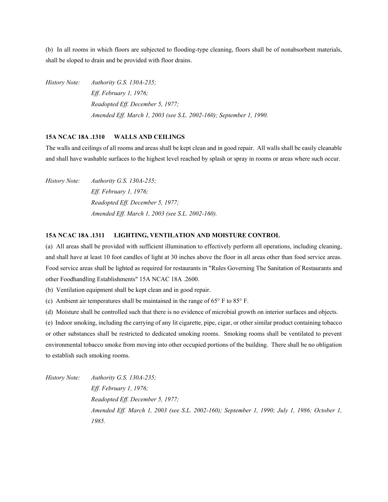(b) In all rooms in which floors are subjected to flooding-type cleaning, floors shall be of nonabsorbent materials, shall be sloped to drain and be provided with floor drains.

*History Note: Authority G.S. 130A-235; Eff. February 1, 1976; Readopted Eff. December 5, 1977; Amended Eff. March 1, 2003 (see S.L. 2002-160); September 1, 1990.*

#### **15A NCAC 18A .1310 WALLS AND CEILINGS**

The walls and ceilings of all rooms and areas shall be kept clean and in good repair. All walls shall be easily cleanable and shall have washable surfaces to the highest level reached by splash or spray in rooms or areas where such occur.

*History Note: Authority G.S. 130A-235; Eff. February 1, 1976; Readopted Eff. December 5, 1977; Amended Eff. March 1, 2003 (see S.L. 2002-160).*

#### **15A NCAC 18A .1311 LIGHTING, VENTILATION AND MOISTURE CONTROL**

(a) All areas shall be provided with sufficient illumination to effectively perform all operations, including cleaning, and shall have at least 10 foot candles of light at 30 inches above the floor in all areas other than food service areas. Food service areas shall be lighted as required for restaurants in "Rules Governing The Sanitation of Restaurants and other Foodhandling Establishments" 15A NCAC 18A .2600.

(b) Ventilation equipment shall be kept clean and in good repair.

(c) Ambient air temperatures shall be maintained in the range of  $65^{\circ}$  F to  $85^{\circ}$  F.

(d) Moisture shall be controlled such that there is no evidence of microbial growth on interior surfaces and objects.

(e) Indoor smoking, including the carrying of any lit cigarette, pipe, cigar, or other similar product containing tobacco or other substances shall be restricted to dedicated smoking rooms. Smoking rooms shall be ventilated to prevent environmental tobacco smoke from moving into other occupied portions of the building. There shall be no obligation to establish such smoking rooms.

*History Note: Authority G.S. 130A-235; Eff. February 1, 1976; Readopted Eff. December 5, 1977; Amended Eff. March 1, 2003 (see S.L. 2002-160); September 1, 1990; July 1, 1986; October 1, 1985.*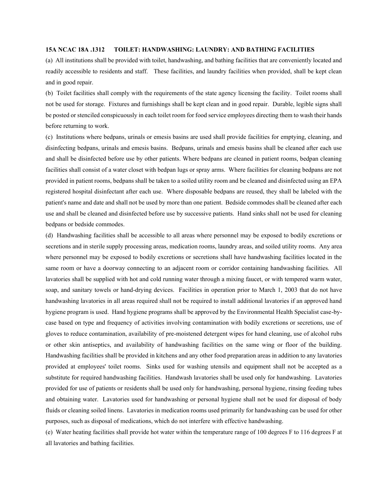#### **15A NCAC 18A .1312 TOILET: HANDWASHING: LAUNDRY: AND BATHING FACILITIES**

(a) All institutions shall be provided with toilet, handwashing, and bathing facilities that are conveniently located and readily accessible to residents and staff. These facilities, and laundry facilities when provided, shall be kept clean and in good repair.

(b) Toilet facilities shall comply with the requirements of the state agency licensing the facility. Toilet rooms shall not be used for storage. Fixtures and furnishings shall be kept clean and in good repair. Durable, legible signs shall be posted or stenciled conspicuously in each toilet room for food service employees directing them to wash their hands before returning to work.

(c) Institutions where bedpans, urinals or emesis basins are used shall provide facilities for emptying, cleaning, and disinfecting bedpans, urinals and emesis basins. Bedpans, urinals and emesis basins shall be cleaned after each use and shall be disinfected before use by other patients. Where bedpans are cleaned in patient rooms, bedpan cleaning facilities shall consist of a water closet with bedpan lugs or spray arms. Where facilities for cleaning bedpans are not provided in patient rooms, bedpans shall be taken to a soiled utility room and be cleaned and disinfected using an EPA registered hospital disinfectant after each use. Where disposable bedpans are reused, they shall be labeled with the patient's name and date and shall not be used by more than one patient. Bedside commodes shall be cleaned after each use and shall be cleaned and disinfected before use by successive patients. Hand sinks shall not be used for cleaning bedpans or bedside commodes.

(d) Handwashing facilities shall be accessible to all areas where personnel may be exposed to bodily excretions or secretions and in sterile supply processing areas, medication rooms, laundry areas, and soiled utility rooms. Any area where personnel may be exposed to bodily excretions or secretions shall have handwashing facilities located in the same room or have a doorway connecting to an adjacent room or corridor containing handwashing facilities. All lavatories shall be supplied with hot and cold running water through a mixing faucet, or with tempered warm water, soap, and sanitary towels or hand-drying devices. Facilities in operation prior to March 1, 2003 that do not have handwashing lavatories in all areas required shall not be required to install additional lavatories if an approved hand hygiene program is used. Hand hygiene programs shall be approved by the Environmental Health Specialist case-bycase based on type and frequency of activities involving contamination with bodily excretions or secretions, use of gloves to reduce contamination, availability of pre-moistened detergent wipes for hand cleaning, use of alcohol rubs or other skin antiseptics, and availability of handwashing facilities on the same wing or floor of the building. Handwashing facilities shall be provided in kitchens and any other food preparation areas in addition to any lavatories provided at employees' toilet rooms. Sinks used for washing utensils and equipment shall not be accepted as a substitute for required handwashing facilities. Handwash lavatories shall be used only for handwashing. Lavatories provided for use of patients or residents shall be used only for handwashing, personal hygiene, rinsing feeding tubes and obtaining water. Lavatories used for handwashing or personal hygiene shall not be used for disposal of body fluids or cleaning soiled linens. Lavatories in medication rooms used primarily for handwashing can be used for other purposes, such as disposal of medications, which do not interfere with effective handwashing.

(e) Water heating facilities shall provide hot water within the temperature range of 100 degrees F to 116 degrees F at all lavatories and bathing facilities.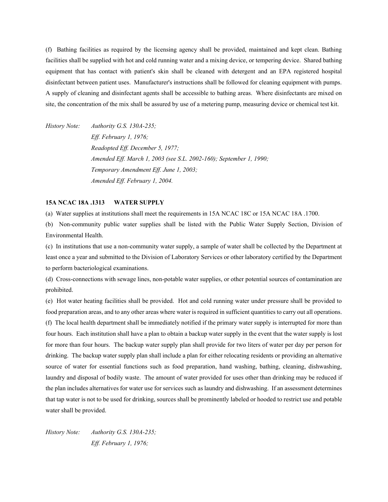(f) Bathing facilities as required by the licensing agency shall be provided, maintained and kept clean. Bathing facilities shall be supplied with hot and cold running water and a mixing device, or tempering device. Shared bathing equipment that has contact with patient's skin shall be cleaned with detergent and an EPA registered hospital disinfectant between patient uses. Manufacturer's instructions shall be followed for cleaning equipment with pumps. A supply of cleaning and disinfectant agents shall be accessible to bathing areas. Where disinfectants are mixed on site, the concentration of the mix shall be assured by use of a metering pump, measuring device or chemical test kit.

*History Note: Authority G.S. 130A-235; Eff. February 1, 1976; Readopted Eff. December 5, 1977; Amended Eff. March 1, 2003 (see S.L. 2002-160); September 1, 1990; Temporary Amendment Eff. June 1, 2003; Amended Eff. February 1, 2004.*

#### **15A NCAC 18A .1313 WATER SUPPLY**

(a) Water supplies at institutions shall meet the requirements in 15A NCAC 18C or 15A NCAC 18A .1700.

(b) Non-community public water supplies shall be listed with the Public Water Supply Section, Division of Environmental Health.

(c) In institutions that use a non-community water supply, a sample of water shall be collected by the Department at least once a year and submitted to the Division of Laboratory Services or other laboratory certified by the Department to perform bacteriological examinations.

(d) Cross-connections with sewage lines, non-potable water supplies, or other potential sources of contamination are prohibited.

(e) Hot water heating facilities shall be provided. Hot and cold running water under pressure shall be provided to food preparation areas, and to any other areas where water is required in sufficient quantities to carry out all operations. (f) The local health department shall be immediately notified if the primary water supply is interrupted for more than four hours. Each institution shall have a plan to obtain a backup water supply in the event that the water supply is lost for more than four hours. The backup water supply plan shall provide for two liters of water per day per person for drinking. The backup water supply plan shall include a plan for either relocating residents or providing an alternative source of water for essential functions such as food preparation, hand washing, bathing, cleaning, dishwashing, laundry and disposal of bodily waste. The amount of water provided for uses other than drinking may be reduced if the plan includes alternatives for water use for services such as laundry and dishwashing. If an assessment determines that tap water is not to be used for drinking, sources shall be prominently labeled or hooded to restrict use and potable water shall be provided.

*History Note: Authority G.S. 130A-235; Eff. February 1, 1976;*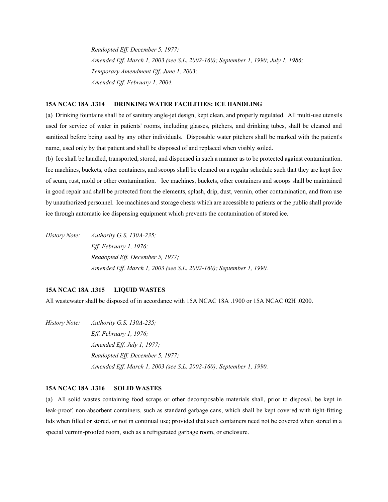*Readopted Eff. December 5, 1977; Amended Eff. March 1, 2003 (see S.L. 2002-160); September 1, 1990; July 1, 1986; Temporary Amendment Eff. June 1, 2003; Amended Eff. February 1, 2004.*

#### **15A NCAC 18A .1314 DRINKING WATER FACILITIES: ICE HANDLING**

(a) Drinking fountains shall be of sanitary angle-jet design, kept clean, and properly regulated. All multi-use utensils used for service of water in patients' rooms, including glasses, pitchers, and drinking tubes, shall be cleaned and sanitized before being used by any other individuals. Disposable water pitchers shall be marked with the patient's name, used only by that patient and shall be disposed of and replaced when visibly soiled.

(b) Ice shall be handled, transported, stored, and dispensed in such a manner as to be protected against contamination. Ice machines, buckets, other containers, and scoops shall be cleaned on a regular schedule such that they are kept free of scum, rust, mold or other contamination. Ice machines, buckets, other containers and scoops shall be maintained in good repair and shall be protected from the elements, splash, drip, dust, vermin, other contamination, and from use by unauthorized personnel. Ice machines and storage chests which are accessible to patients or the public shall provide ice through automatic ice dispensing equipment which prevents the contamination of stored ice.

*History Note: Authority G.S. 130A-235; Eff. February 1, 1976; Readopted Eff. December 5, 1977; Amended Eff. March 1, 2003 (see S.L. 2002-160); September 1, 1990.*

#### **15A NCAC 18A .1315 LIQUID WASTES**

All wastewater shall be disposed of in accordance with 15A NCAC 18A .1900 or 15A NCAC 02H .0200.

*History Note: Authority G.S. 130A-235; Eff. February 1, 1976; Amended Eff. July 1, 1977; Readopted Eff. December 5, 1977; Amended Eff. March 1, 2003 (see S.L. 2002-160); September 1, 1990.*

#### **15A NCAC 18A .1316 SOLID WASTES**

(a) All solid wastes containing food scraps or other decomposable materials shall, prior to disposal, be kept in leak-proof, non-absorbent containers, such as standard garbage cans, which shall be kept covered with tight-fitting lids when filled or stored, or not in continual use; provided that such containers need not be covered when stored in a special vermin-proofed room, such as a refrigerated garbage room, or enclosure.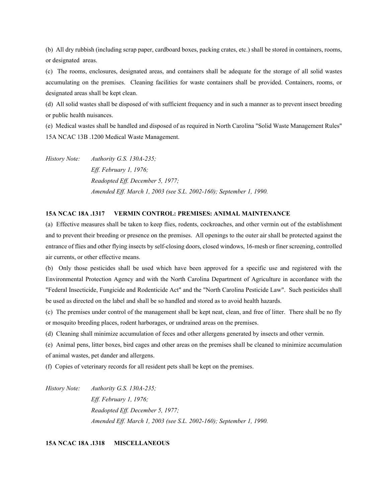(b) All dry rubbish (including scrap paper, cardboard boxes, packing crates, etc.) shall be stored in containers, rooms, or designated areas.

(c) The rooms, enclosures, designated areas, and containers shall be adequate for the storage of all solid wastes accumulating on the premises. Cleaning facilities for waste containers shall be provided. Containers, rooms, or designated areas shall be kept clean.

(d) All solid wastes shall be disposed of with sufficient frequency and in such a manner as to prevent insect breeding or public health nuisances.

(e) Medical wastes shall be handled and disposed of as required in North Carolina "Solid Waste Management Rules" 15A NCAC 13B .1200 Medical Waste Management.

*History Note: Authority G.S. 130A-235; Eff. February 1, 1976; Readopted Eff. December 5, 1977; Amended Eff. March 1, 2003 (see S.L. 2002-160); September 1, 1990.*

# **15A NCAC 18A .1317 VERMIN CONTROL: PREMISES: ANIMAL MAINTENANCE**

(a) Effective measures shall be taken to keep flies, rodents, cockroaches, and other vermin out of the establishment and to prevent their breeding or presence on the premises. All openings to the outer air shall be protected against the entrance of flies and other flying insects by self-closing doors, closed windows, 16-mesh or finer screening, controlled air currents, or other effective means.

(b) Only those pesticides shall be used which have been approved for a specific use and registered with the Environmental Protection Agency and with the North Carolina Department of Agriculture in accordance with the "Federal Insecticide, Fungicide and Rodenticide Act" and the "North Carolina Pesticide Law". Such pesticides shall be used as directed on the label and shall be so handled and stored as to avoid health hazards.

(c) The premises under control of the management shall be kept neat, clean, and free of litter. There shall be no fly or mosquito breeding places, rodent harborages, or undrained areas on the premises.

(d) Cleaning shall minimize accumulation of feces and other allergens generated by insects and other vermin.

(e) Animal pens, litter boxes, bird cages and other areas on the premises shall be cleaned to minimize accumulation of animal wastes, pet dander and allergens.

(f) Copies of veterinary records for all resident pets shall be kept on the premises.

*History Note: Authority G.S. 130A-235; Eff. February 1, 1976; Readopted Eff. December 5, 1977; Amended Eff. March 1, 2003 (see S.L. 2002-160); September 1, 1990.*

**15A NCAC 18A .1318 MISCELLANEOUS**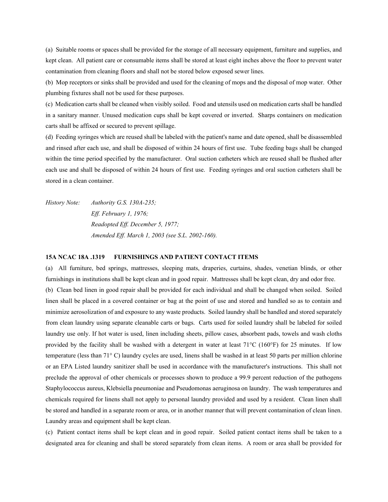(a) Suitable rooms or spaces shall be provided for the storage of all necessary equipment, furniture and supplies, and kept clean. All patient care or consumable items shall be stored at least eight inches above the floor to prevent water contamination from cleaning floors and shall not be stored below exposed sewer lines.

(b) Mop receptors or sinks shall be provided and used for the cleaning of mops and the disposal of mop water. Other plumbing fixtures shall not be used for these purposes.

(c) Medication carts shall be cleaned when visibly soiled. Food and utensils used on medication carts shall be handled in a sanitary manner. Unused medication cups shall be kept covered or inverted. Sharps containers on medication carts shall be affixed or secured to prevent spillage.

(d) Feeding syringes which are reused shall be labeled with the patient's name and date opened, shall be disassembled and rinsed after each use, and shall be disposed of within 24 hours of first use. Tube feeding bags shall be changed within the time period specified by the manufacturer. Oral suction catheters which are reused shall be flushed after each use and shall be disposed of within 24 hours of first use. Feeding syringes and oral suction catheters shall be stored in a clean container.

*History Note: Authority G.S. 130A-235; Eff. February 1, 1976; Readopted Eff. December 5, 1977; Amended Eff. March 1, 2003 (see S.L. 2002-160).*

#### **15A NCAC 18A .1319 FURNISHINGS AND PATIENT CONTACT ITEMS**

(a) All furniture, bed springs, mattresses, sleeping mats, draperies, curtains, shades, venetian blinds, or other furnishings in institutions shall be kept clean and in good repair. Mattresses shall be kept clean, dry and odor free. (b) Clean bed linen in good repair shall be provided for each individual and shall be changed when soiled. Soiled linen shall be placed in a covered container or bag at the point of use and stored and handled so as to contain and minimize aerosolization of and exposure to any waste products. Soiled laundry shall be handled and stored separately from clean laundry using separate cleanable carts or bags. Carts used for soiled laundry shall be labeled for soiled laundry use only. If hot water is used, linen including sheets, pillow cases, absorbent pads, towels and wash cloths provided by the facility shall be washed with a detergent in water at least 71°C (160°F) for 25 minutes. If low temperature (less than 71° C) laundry cycles are used, linens shall be washed in at least 50 parts per million chlorine or an EPA Listed laundry sanitizer shall be used in accordance with the manufacturer's instructions. This shall not preclude the approval of other chemicals or processes shown to produce a 99.9 percent reduction of the pathogens Staphylococcus aureus, Klebsiella pneumoniae and Pseudomonas aeruginosa on laundry. The wash temperatures and chemicals required for linens shall not apply to personal laundry provided and used by a resident. Clean linen shall be stored and handled in a separate room or area, or in another manner that will prevent contamination of clean linen. Laundry areas and equipment shall be kept clean.

(c) Patient contact items shall be kept clean and in good repair. Soiled patient contact items shall be taken to a designated area for cleaning and shall be stored separately from clean items. A room or area shall be provided for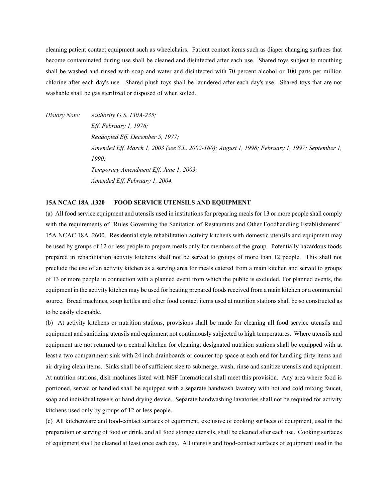cleaning patient contact equipment such as wheelchairs. Patient contact items such as diaper changing surfaces that become contaminated during use shall be cleaned and disinfected after each use. Shared toys subject to mouthing shall be washed and rinsed with soap and water and disinfected with 70 percent alcohol or 100 parts per million chlorine after each day's use. Shared plush toys shall be laundered after each day's use. Shared toys that are not washable shall be gas sterilized or disposed of when soiled.

*History Note: Authority G.S. 130A-235; Eff. February 1, 1976; Readopted Eff. December 5, 1977; Amended Eff. March 1, 2003 (see S.L. 2002-160); August 1, 1998; February 1, 1997; September 1, 1990; Temporary Amendment Eff. June 1, 2003; Amended Eff. February 1, 2004.* 

## **15A NCAC 18A .1320 FOOD SERVICE UTENSILS AND EQUIPMENT**

(a) All food service equipment and utensils used in institutions for preparing meals for 13 or more people shall comply with the requirements of "Rules Governing the Sanitation of Restaurants and Other Foodhandling Establishments" 15A NCAC 18A .2600. Residential style rehabilitation activity kitchens with domestic utensils and equipment may be used by groups of 12 or less people to prepare meals only for members of the group. Potentially hazardous foods prepared in rehabilitation activity kitchens shall not be served to groups of more than 12 people. This shall not preclude the use of an activity kitchen as a serving area for meals catered from a main kitchen and served to groups of 13 or more people in connection with a planned event from which the public is excluded. For planned events, the equipment in the activity kitchen may be used for heating prepared foods received from a main kitchen or a commercial source. Bread machines, soup kettles and other food contact items used at nutrition stations shall be so constructed as to be easily cleanable.

(b) At activity kitchens or nutrition stations, provisions shall be made for cleaning all food service utensils and equipment and sanitizing utensils and equipment not continuously subjected to high temperatures. Where utensils and equipment are not returned to a central kitchen for cleaning, designated nutrition stations shall be equipped with at least a two compartment sink with 24 inch drainboards or counter top space at each end for handling dirty items and air drying clean items. Sinks shall be of sufficient size to submerge, wash, rinse and sanitize utensils and equipment. At nutrition stations, dish machines listed with NSF International shall meet this provision. Any area where food is portioned, served or handled shall be equipped with a separate handwash lavatory with hot and cold mixing faucet, soap and individual towels or hand drying device. Separate handwashing lavatories shall not be required for activity kitchens used only by groups of 12 or less people.

(c) All kitchenware and food-contact surfaces of equipment, exclusive of cooking surfaces of equipment, used in the preparation or serving of food or drink, and all food storage utensils, shall be cleaned after each use. Cooking surfaces of equipment shall be cleaned at least once each day. All utensils and food-contact surfaces of equipment used in the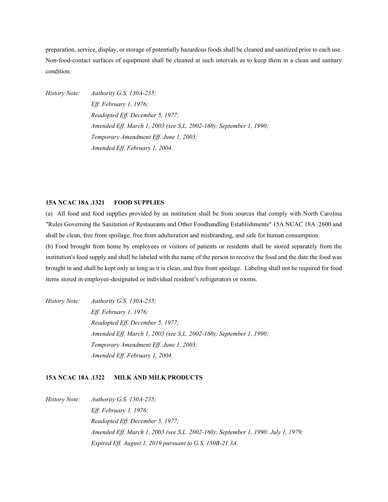preparation, service, display, or storage of potentially hazardous foods shall be cleaned and sanitized prior to each use. Non-food-contact surfaces of equipment shall be cleaned at such intervals as to keep them in a clean and sanitary condition.

*History Note: Authority G.S. 130A-235; Eff. February 1, 1976; Readopted Eff. December 5, 1977; Amended Eff. March 1, 2003 (see S.L. 2002-160); September 1, 1990; Temporary Amendment Eff. June 1, 2003; Amended Eff. February 1, 2004.*

# **15A NCAC 18A .1321 FOOD SUPPLIES**

(a) All food and food supplies provided by an institution shall be from sources that comply with North Carolina "Rules Governing the Sanitation of Restaurants and Other Foodhandling Establishments" 15A NCAC 18A .2600 and shall be clean, free from spoilage, free from adulteration and misbranding, and safe for human consumption.

(b) Food brought from home by employees or visitors of patients or residents shall be stored separately from the institution's food supply and shall be labeled with the name of the person to receive the food and the date the food was brought in and shall be kept only as long as it is clean, and free from spoilage. Labeling shall not be required for food items stored in employee-designated or individual resident's refrigerators or rooms.

*History Note: Authority G.S. 130A-235; Eff. February 1, 1976; Readopted Eff. December 5, 1977; Amended Eff. March 1, 2003 (see S.L. 2002-160); September 1, 1990; Temporary Amendment Eff. June 1, 2003; Amended Eff. February 1, 2004.*

# **15A NCAC 18A .1322 MILK AND MILK PRODUCTS**

*History Note: Authority G.S. 130A-235; Eff. February 1, 1976; Readopted Eff. December 5, 1977; Amended Eff. March 1, 2003 (see S.L. 2002-160); September 1, 1990; July 1, 1979; Expired Eff. August 1, 2019 pursuant to G.S. 150B-21.3A.*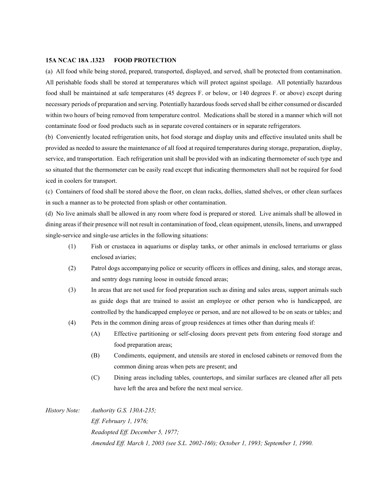#### **15A NCAC 18A .1323 FOOD PROTECTION**

(a) All food while being stored, prepared, transported, displayed, and served, shall be protected from contamination. All perishable foods shall be stored at temperatures which will protect against spoilage. All potentially hazardous food shall be maintained at safe temperatures (45 degrees F. or below, or 140 degrees F. or above) except during necessary periods of preparation and serving. Potentially hazardous foods served shall be either consumed or discarded within two hours of being removed from temperature control. Medications shall be stored in a manner which will not contaminate food or food products such as in separate covered containers or in separate refrigerators.

(b) Conveniently located refrigeration units, hot food storage and display units and effective insulated units shall be provided as needed to assure the maintenance of all food at required temperatures during storage, preparation, display, service, and transportation. Each refrigeration unit shall be provided with an indicating thermometer of such type and so situated that the thermometer can be easily read except that indicating thermometers shall not be required for food iced in coolers for transport.

(c) Containers of food shall be stored above the floor, on clean racks, dollies, slatted shelves, or other clean surfaces in such a manner as to be protected from splash or other contamination.

(d) No live animals shall be allowed in any room where food is prepared or stored. Live animals shall be allowed in dining areas if their presence will not result in contamination of food, clean equipment, utensils, linens, and unwrapped single-service and single-use articles in the following situations:

- (1) Fish or crustacea in aquariums or display tanks, or other animals in enclosed terrariums or glass enclosed aviaries;
- (2) Patrol dogs accompanying police or security officers in offices and dining, sales, and storage areas, and sentry dogs running loose in outside fenced areas;
- (3) In areas that are not used for food preparation such as dining and sales areas, support animals such as guide dogs that are trained to assist an employee or other person who is handicapped, are controlled by the handicapped employee or person, and are not allowed to be on seats or tables; and
- (4) Pets in the common dining areas of group residences at times other than during meals if:
	- (A) Effective partitioning or self-closing doors prevent pets from entering food storage and food preparation areas;
	- (B) Condiments, equipment, and utensils are stored in enclosed cabinets or removed from the common dining areas when pets are present; and
	- (C) Dining areas including tables, countertops, and similar surfaces are cleaned after all pets have left the area and before the next meal service.

*History Note: Authority G.S. 130A-235; Eff. February 1, 1976; Readopted Eff. December 5, 1977; Amended Eff. March 1, 2003 (see S.L. 2002-160); October 1, 1993; September 1, 1990.*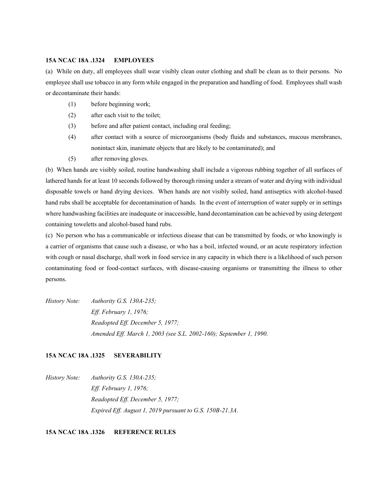#### **15A NCAC 18A .1324 EMPLOYEES**

(a) While on duty, all employees shall wear visibly clean outer clothing and shall be clean as to their persons. No employee shall use tobacco in any form while engaged in the preparation and handling of food. Employees shall wash or decontaminate their hands:

- (1) before beginning work;
- (2) after each visit to the toilet;
- (3) before and after patient contact, including oral feeding;
- (4) after contact with a source of microorganisms (body fluids and substances, mucous membranes, nonintact skin, inanimate objects that are likely to be contaminated); and
- (5) after removing gloves.

(b) When hands are visibly soiled, routine handwashing shall include a vigorous rubbing together of all surfaces of lathered hands for at least 10 seconds followed by thorough rinsing under a stream of water and drying with individual disposable towels or hand drying devices. When hands are not visibly soiled, hand antiseptics with alcohol-based hand rubs shall be acceptable for decontamination of hands. In the event of interruption of water supply or in settings where handwashing facilities are inadequate or inaccessible, hand decontamination can be achieved by using detergent containing toweletts and alcohol-based hand rubs.

(c) No person who has a communicable or infectious disease that can be transmitted by foods, or who knowingly is a carrier of organisms that cause such a disease, or who has a boil, infected wound, or an acute respiratory infection with cough or nasal discharge, shall work in food service in any capacity in which there is a likelihood of such person contaminating food or food-contact surfaces, with disease-causing organisms or transmitting the illness to other persons.

*History Note: Authority G.S. 130A-235; Eff. February 1, 1976; Readopted Eff. December 5, 1977; Amended Eff. March 1, 2003 (see S.L. 2002-160); September 1, 1990.*

# **15A NCAC 18A .1325 SEVERABILITY**

*History Note: Authority G.S. 130A-235; Eff. February 1, 1976; Readopted Eff. December 5, 1977; Expired Eff. August 1, 2019 pursuant to G.S. 150B-21.3A.*

#### **15A NCAC 18A .1326 REFERENCE RULES**